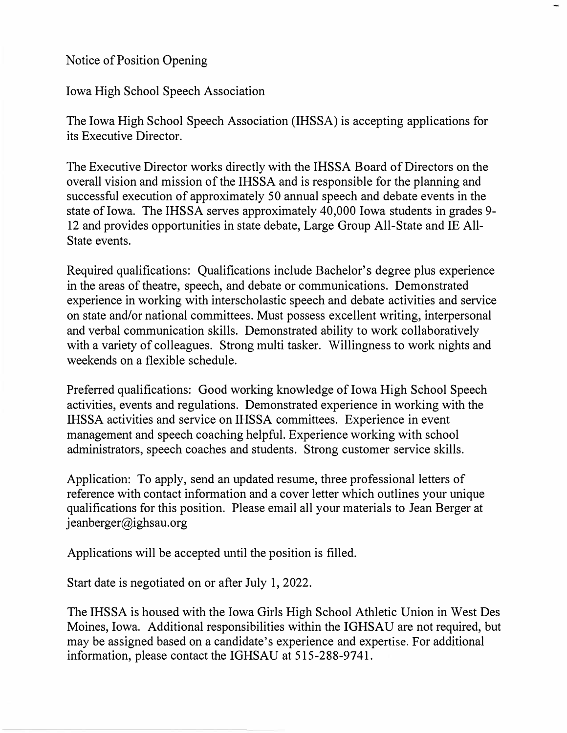Notice of Position Opening

Iowa High School Speech Association

The Iowa High School Speech Association **(IHSSA)** is accepting applications for its Executive Director.

The Executive Director works directly with the IHSSA Board of Directors on the overall vision and mission of the IHSSA and is responsible for the planning and successful execution of approximately 50 annual speech and debate events in the state of Iowa. The IHSSA serves approximately 40,000 Iowa students in grades 9- 12 and provides opportunities in state debate, Large Group All-State and IE All-State events.

Required qualifications: Qualifications include Bachelor's degree plus experience in the areas of theatre, speech, and debate or communications. Demonstrated experience in working with interscholastic speech and debate activities and service on state and/or national committees. Must possess excellent writing, interpersonal and verbal communication skills. Demonstrated ability to work collaboratively with a variety of colleagues. Strong multi tasker. Willingness to work nights and weekends on a flexible schedule.

Preferred qualifications: Good working knowledge of Iowa High School Speech activities, events and regulations. Demonstrated experience in working with the IHSSA activities and service on IHSSA committees. Experience in event management and speech coaching helpful. Experience working with school administrators, speech coaches and students. Strong customer service skills.

Application: To apply, send an updated resume, three professional letters of reference with contact information and a cover letter which outlines your unique qualifications for this position. Please email all your materials to Jean Berger at  $jeanberger@ijghsau.org$ 

Applications will be accepted until the position is filled.

Start date is negotiated on or after July 1, 2022.

The IHSSA is housed with the Iowa Girls High School Athletic Union in West Des Moines, Iowa. Additional responsibilities within the IGHSAU are not required, but may be assigned based on a candidate's experience and expertise. For additional information, please contact the IGHSAU at 515-288-9741.